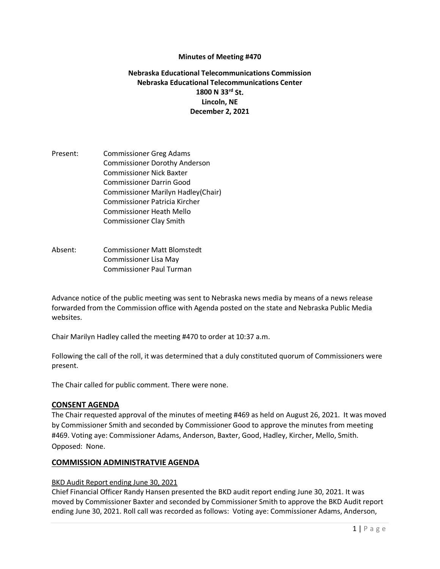### **Minutes of Meeting #470**

## **Nebraska Educational Telecommunications Commission Nebraska Educational Telecommunications Center 1800 N 33rd St. Lincoln, NE December 2, 2021**

Present: Commissioner Greg Adams Commissioner Dorothy Anderson Commissioner Nick Baxter Commissioner Darrin Good Commissioner Marilyn Hadley(Chair) Commissioner Patricia Kircher Commissioner Heath Mello Commissioner Clay Smith

Absent: Commissioner Matt Blomstedt Commissioner Lisa May Commissioner Paul Turman

Advance notice of the public meeting was sent to Nebraska news media by means of a news release forwarded from the Commission office with Agenda posted on the state and Nebraska Public Media websites.

Chair Marilyn Hadley called the meeting #470 to order at 10:37 a.m.

Following the call of the roll, it was determined that a duly constituted quorum of Commissioners were present.

The Chair called for public comment. There were none.

### **CONSENT AGENDA**

The Chair requested approval of the minutes of meeting #469 as held on August 26, 2021. It was moved by Commissioner Smith and seconded by Commissioner Good to approve the minutes from meeting #469. Voting aye: Commissioner Adams, Anderson, Baxter, Good, Hadley, Kircher, Mello, Smith. Opposed: None.

### **COMMISSION ADMINISTRATVIE AGENDA**

#### BKD Audit Report ending June 30, 2021

Chief Financial Officer Randy Hansen presented the BKD audit report ending June 30, 2021. It was moved by Commissioner Baxter and seconded by Commissioner Smith to approve the BKD Audit report ending June 30, 2021. Roll call was recorded as follows: Voting aye: Commissioner Adams, Anderson,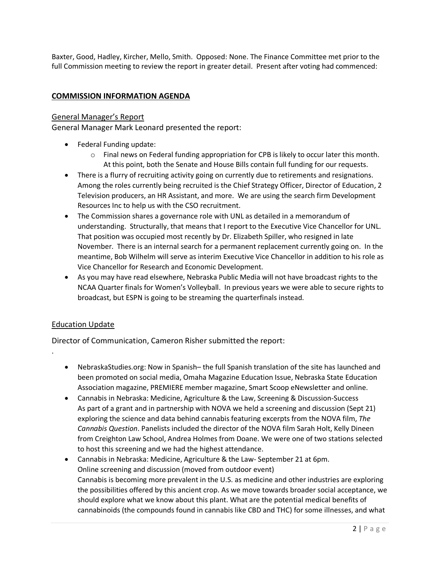Baxter, Good, Hadley, Kircher, Mello, Smith. Opposed: None. The Finance Committee met prior to the full Commission meeting to review the report in greater detail. Present after voting had commenced:

## **COMMISSION INFORMATION AGENDA**

### General Manager's Report

General Manager Mark Leonard presented the report:

- Federal Funding update:
	- $\circ$  Final news on Federal funding appropriation for CPB is likely to occur later this month. At this point, both the Senate and House Bills contain full funding for our requests.
- There is a flurry of recruiting activity going on currently due to retirements and resignations. Among the roles currently being recruited is the Chief Strategy Officer, Director of Education, 2 Television producers, an HR Assistant, and more. We are using the search firm Development Resources Inc to help us with the CSO recruitment.
- The Commission shares a governance role with UNL as detailed in a memorandum of understanding. Structurally, that means that I report to the Executive Vice Chancellor for UNL. That position was occupied most recently by Dr. Elizabeth Spiller, who resigned in late November. There is an internal search for a permanent replacement currently going on. In the meantime, Bob Wilhelm will serve as interim Executive Vice Chancellor in addition to his role as Vice Chancellor for Research and Economic Development.
- As you may have read elsewhere, Nebraska Public Media will not have broadcast rights to the NCAA Quarter finals for Women's Volleyball. In previous years we were able to secure rights to broadcast, but ESPN is going to be streaming the quarterfinals instead.

## Education Update

.

Director of Communication, Cameron Risher submitted the report:

- NebraskaStudies.org: Now in Spanish– the full Spanish translation of the site has launched and been promoted on social media, Omaha Magazine Education Issue, Nebraska State Education Association magazine, PREMIERE member magazine, Smart Scoop eNewsletter and online.
- Cannabis in Nebraska: Medicine, Agriculture & the Law, Screening & Discussion-Success As part of a grant and in partnership with NOVA we held a screening and discussion (Sept 21) exploring the science and data behind cannabis featuring excerpts from the NOVA film, *The Cannabis Question*. Panelists included the director of the NOVA film Sarah Holt, Kelly Dineen from Creighton Law School, Andrea Holmes from Doane. We were one of two stations selected to host this screening and we had the highest attendance.
- Cannabis in Nebraska: Medicine, Agriculture & the Law- September 21 at 6pm. Online screening and discussion (moved from outdoor event) Cannabis is becoming more prevalent in the U.S. as medicine and other industries are exploring the possibilities offered by this ancient crop. As we move towards broader social acceptance, we should explore what we know about this plant. What are the potential medical benefits of cannabinoids (the compounds found in cannabis like CBD and THC) for some illnesses, and what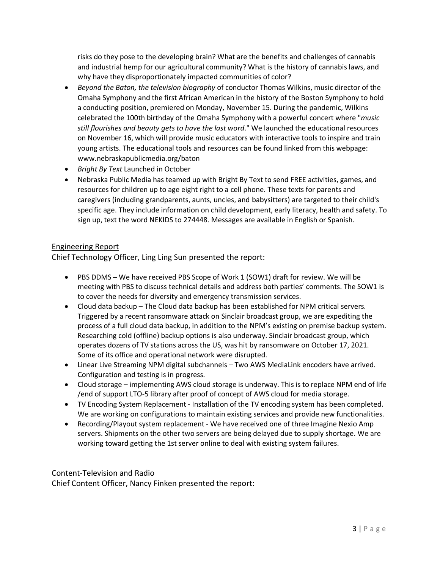risks do they pose to the developing brain? What are the benefits and challenges of cannabis and industrial hemp for our agricultural community? What is the history of cannabis laws, and why have they disproportionately impacted communities of color?

- *Beyond the Baton, the television biography* of conductor Thomas Wilkins, music director of the Omaha Symphony and the first African American in the history of the Boston Symphony to hold a conducting position, premiered on Monday, November 15. During the pandemic, Wilkins celebrated the 100th birthday of the Omaha Symphony with a powerful concert where "*music still flourishes and beauty gets to have the last word*." We launched the educational resources on November 16, which will provide music educators with interactive tools to inspire and train young artists. The educational tools and resources can be found linked from this webpage: [www.nebraskapublicmedia.org/baton](http://www.nebraskapublicmedia.org/baton)
- *Bright By Text* Launched in October
- Nebraska Public Media has teamed up with Bright By Text to send FREE activities, games, and resources for children up to age eight right to a cell phone. These texts for parents and caregivers (including grandparents, aunts, uncles, and babysitters) are targeted to their child's specific age. They include information on child development, early literacy, health and safety. To sign up, text the word NEKIDS to 274448. Messages are available in English or Spanish.

# Engineering Report

Chief Technology Officer, Ling Ling Sun presented the report:

- PBS DDMS We have received PBS Scope of Work 1 (SOW1) draft for review. We will be meeting with PBS to discuss technical details and address both parties' comments. The SOW1 is to cover the needs for diversity and emergency transmission services.
- Cloud data backup The Cloud data backup has been established for NPM critical servers. Triggered by a recent ransomware attack on Sinclair broadcast group, we are expediting the process of a full cloud data backup, in addition to the NPM's existing on premise backup system. Researching cold (offline) backup options is also underway. Sinclair broadcast group, which operates dozens of TV stations across the US, was hit by ransomware on October 17, 2021. Some of its office and operational network were disrupted.
- Linear Live Streaming NPM digital subchannels Two AWS MediaLink encoders have arrived. Configuration and testing is in progress.
- Cloud storage implementing AWS cloud storage is underway. This is to replace NPM end of life /end of support LTO-5 library after proof of concept of AWS cloud for media storage.
- TV Encoding System Replacement Installation of the TV encoding system has been completed. We are working on configurations to maintain existing services and provide new functionalities.
- Recording/Playout system replacement We have received one of three Imagine Nexio Amp servers. Shipments on the other two servers are being delayed due to supply shortage. We are working toward getting the 1st server online to deal with existing system failures.

## Content-Television and Radio

Chief Content Officer, Nancy Finken presented the report: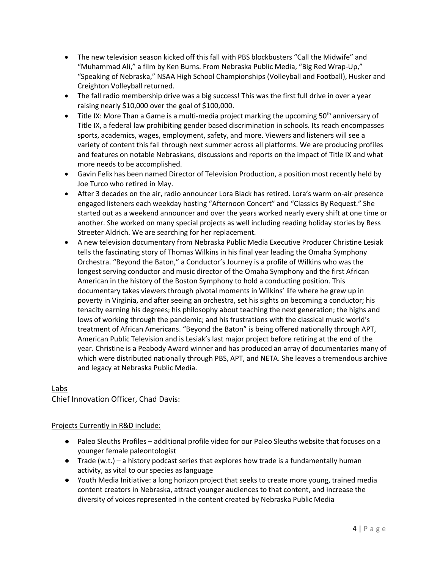- The new television season kicked off this fall with PBS blockbusters "Call the Midwife" and "Muhammad Ali," a film by Ken Burns. From Nebraska Public Media, "Big Red Wrap-Up," "Speaking of Nebraska," NSAA High School Championships (Volleyball and Football), Husker and Creighton Volleyball returned.
- The fall radio membership drive was a big success! This was the first full drive in over a year raising nearly \$10,000 over the goal of \$100,000.
- [Title IX: More Than a Game](https://nebraskapublicmedia.org/en/series-media/non-series-video/titleix/) is a multi-media project marking the upcoming  $50<sup>th</sup>$  anniversary of Title IX, a federal law prohibiting gender based discrimination in schools. Its reach encompasses sports, academics, wages, employment, safety, and more. Viewers and listeners will see a variety of content this fall through next summer across all platforms. We are producing profiles and features on notable Nebraskans, discussions and reports on the impact of Title IX and what more needs to be accomplished.
- Gavin Felix has been named Director of Television Production, a position most recently held by Joe Turco who retired in May.
- After 3 decades on the air, radio announcer Lora Black has retired. Lora's warm on-air presence engaged listeners each weekday hosting "Afternoon Concert" and "Classics By Request." She started out as a weekend announcer and over the years worked nearly every shift at one time or another. She worked on many special projects as well including reading holiday stories by Bess Streeter Aldrich. We are searching for her replacement.
- A new television documentary from Nebraska Public Media Executive Producer Christine Lesiak tells the fascinating story of Thomas Wilkins in his final year leading the Omaha Symphony Orchestra. "Beyond the Baton," a Conductor's Journey is a profile of Wilkins who was the longest serving conductor and music director of the Omaha Symphony and the first African American in the history of the Boston Symphony to hold a conducting position. This documentary takes viewers through pivotal moments in Wilkins' life where he grew up in poverty in Virginia, and after seeing an orchestra, set his sights on becoming a conductor; his tenacity earning his degrees; his philosophy about teaching the next generation; the highs and lows of working through the pandemic; and his frustrations with the classical music world's treatment of African Americans. "Beyond the Baton" is being offered nationally through APT, American Public Television and is Lesiak's last major project before retiring at the end of the year. Christine is a Peabody Award winner and has produced an array of documentaries many of which were distributed nationally through PBS, APT, and NETA. She leaves a tremendous archive and legacy at Nebraska Public Media.

## Labs

Chief Innovation Officer, Chad Davis:

## Projects Currently in R&D include:

- Paleo Sleuths Profiles additional profile video for our Paleo Sleuths website that focuses on a younger female paleontologist
- $\bullet$  Trade (w.t.) a history podcast series that explores how trade is a fundamentally human activity, as vital to our species as language
- Youth Media Initiative: a long horizon project that seeks to create more young, trained media content creators in Nebraska, attract younger audiences to that content, and increase the diversity of voices represented in the content created by Nebraska Public Media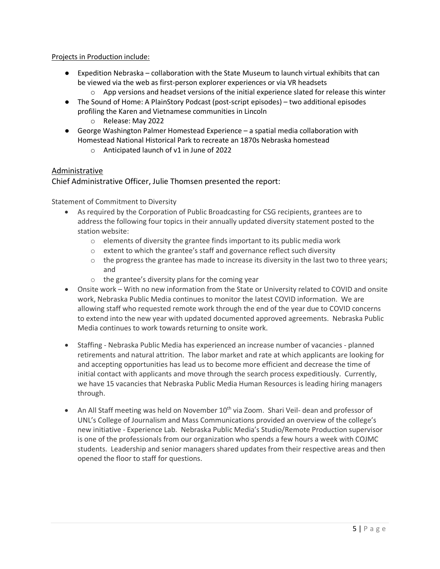## Projects in Production include:

- Expedition Nebraska collaboration with the State Museum to launch virtual exhibits that can be viewed via the web as first-person explorer experiences or via VR headsets
	- $\circ$  App versions and headset versions of the initial experience slated for release this winter
- The Sound of Home: A PlainStory Podcast (post-script episodes) two additional episodes profiling the Karen and Vietnamese communities in Lincoln
	- o Release: May 2022
- George Washington Palmer Homestead Experience a spatial media collaboration with Homestead National Historical Park to recreate an 1870s Nebraska homestead
	- o Anticipated launch of v1 in June of 2022

## Administrative

## Chief Administrative Officer, Julie Thomsen presented the report:

Statement of Commitment to Diversity

- As required by the Corporation of Public Broadcasting for CSG recipients, grantees are to address the following four topics in their annually updated diversity statement posted to the station website:
	- o elements of diversity the grantee finds important to its public media work
	- o extent to which the grantee's staff and governance reflect such diversity
	- $\circ$  the progress the grantee has made to increase its diversity in the last two to three years; and
	- o the grantee's diversity plans for the coming year
- Onsite work With no new information from the State or University related to COVID and onsite work, Nebraska Public Media continues to monitor the latest COVID information. We are allowing staff who requested remote work through the end of the year due to COVID concerns to extend into the new year with updated documented approved agreements. Nebraska Public Media continues to work towards returning to onsite work.
- Staffing Nebraska Public Media has experienced an increase number of vacancies planned retirements and natural attrition. The labor market and rate at which applicants are looking for and accepting opportunities has lead us to become more efficient and decrease the time of initial contact with applicants and move through the search process expeditiously. Currently, we have 15 vacancies that Nebraska Public Media Human Resources is leading hiring managers through.
- An All Staff meeting was held on November  $10^{th}$  via Zoom. Shari Veil-dean and professor of UNL's College of Journalism and Mass Communications provided an overview of the college's new initiative - Experience Lab. Nebraska Public Media's Studio/Remote Production supervisor is one of the professionals from our organization who spends a few hours a week with COJMC students. Leadership and senior managers shared updates from their respective areas and then opened the floor to staff for questions.